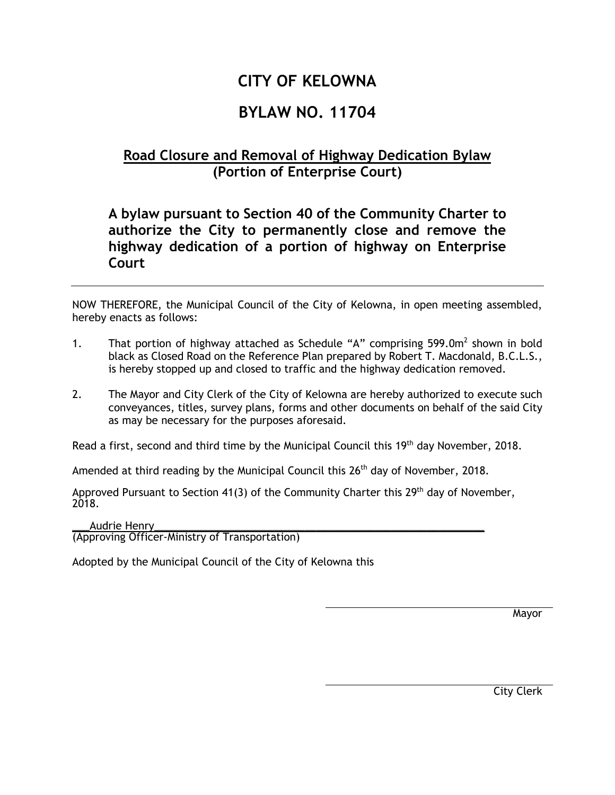## **CITY OF KELOWNA**

## **BYLAW NO. 11704**

## **Road Closure and Removal of Highway Dedication Bylaw (Portion of Enterprise Court)**

## **A bylaw pursuant to Section 40 of the Community Charter to authorize the City to permanently close and remove the highway dedication of a portion of highway on Enterprise Court**

NOW THEREFORE, the Municipal Council of the City of Kelowna, in open meeting assembled, hereby enacts as follows:

- 1. That portion of highway attached as Schedule "A" comprising  $599.0m^2$  shown in bold black as Closed Road on the Reference Plan prepared by Robert T. Macdonald, B.C.L.S., is hereby stopped up and closed to traffic and the highway dedication removed.
- 2. The Mayor and City Clerk of the City of Kelowna are hereby authorized to execute such conveyances, titles, survey plans, forms and other documents on behalf of the said City as may be necessary for the purposes aforesaid.

Read a first, second and third time by the Municipal Council this 19<sup>th</sup> day November, 2018.

Amended at third reading by the Municipal Council this  $26<sup>th</sup>$  day of November, 2018.

Approved Pursuant to Section 41(3) of the Community Charter this 29<sup>th</sup> day of November, 2018.

Audrie Henry (Approving Officer-Ministry of Transportation)

Adopted by the Municipal Council of the City of Kelowna this

Mayor

City Clerk